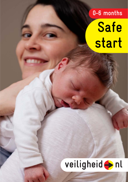# **0-6 months Safe start**

## veiligheid hl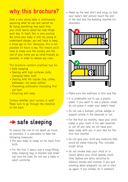### **why this brochure?**

Even a very young baby is continuously exploring what he can and cannot do. By trying something new each time, your child learns about ten new things each day. In itself, this is very positive. But since your baby is still too young to understand danger, you will have to keep a close eye on him. Obviously, this is not possible 24 hours a day. This means you'll have to make sure the nursery and the rest of your home are as child-friendly as possible, in order to reduce any risks.

This brochure contains practical tips for:

- Safe sleeping
- Dealing with high surfaces (sofa, changing table, bed)
- Dealing with hot liquids (tea, coffee, bathwater, hot water bottle)
- Preventing suffocation (including first aid tips)
- Bicycling with baby

Curious whether your nursery is safe? Make sure to go through the checklist on the back.



To reduce the risk of cot death as much as possible, it is advisable to take the following measures:

- Put your baby to sleep on his back from birth.
- For the first 2 years, use a snug-fitting baby sleeping bag. A blanket and sheet can also be used. Do not use a baby or adult comforter.

• Make up the bed short and snug, so that your baby's feet almost touch the end of the bed and the bedding reaches his shoulders.



- Make sure the mattress is firm and flat.
- It is preferable not to use a plastic sheet. If you want to use a plastic sheet, do not place it under your baby's head.
- Do not use a bumper, pillow, wedge or support pillow in the bassinet or cot.
- For the first six months, have your child sleep in your room in his own bassinet or cot. At any rate, do not have your baby sleep with you in your bed for the first four months.
- Do not give your child any medicine that could be sleep-inducing. This includes cough syrup.
- Do not smoke near your child or in rooms where your child spends much time. Babies are extra sensitive to tobacco smoke and incense. If you quit smoking when pregnant, try not to start up again. If you smoke, do it outdoors.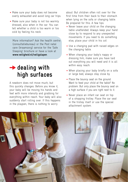- Make sure your baby does not become overly exhausted and avoid long car trips.
- Make sure your baby is not too warmly dressed, also when in the car. You can tell whether a child is too warm or too cold by feeling his neck.

More information? Ask the health centre (consultatiebureau) or the Post natal care (kraamzorg) service for the 'Safe Sleeping' brochure or have a look at **www.veiligheid.nl/veiligslapen**.

### **→ dealing with high surfaces**

A newborn does not move much, but this quickly changes. Before you know it, your baby will be moving his hands and feet with more intensity and grabbing for everything within reach. Your baby will also suddenly start rolling over. If this happens in the playpen, there is nothing to worry

about. But children often roll over for the first time from their back to their stomach when lying on the sofa or changing table. Be prepared for this. A few tips:

- Never leave your child on the changing table unattended. Always keep your hand close by to respond to any unexpected movements. If you need to do something else, place your child in his cot.
- Use a changing pad with raised edges on the changing table.
- When changing your baby's nappy or dressing him, make sure you have laid out everything you will need and it is all within easy reach.
- When placing your baby briefly on a sofa or large bed, always stay close by.
- Place the bouncy seat on the ground. Want to feed your child at the table? No problem. But only place the bouncy seat on a high surface if you are right next to it.
- Never place an infant car seat on top of a shopping trolley. Place the car seat in the trolley itself or use the special attachment system.

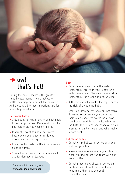

### **ow! that's hot!**

During the first 6 months, the greatest risks involve burns: from a hot water bottle, scalding bath or hot tea or coffee. And these are the most important tips for preventing accidents:

#### **Hot water bottle**

- Only use a hot water bottle or heat pack to warm up the bed. Remove it from the bed before placing your child in it.
- If you still want to use a hot water bottle when your baby is in his cot, always consult an expert first.
- Place the hot water bottle in a cover and close it tightly.
- Check the hot water bottle before each use for damage or leakage.

For more information, see **www.veiligheid.nl/kruiken**

#### **Bath**

- Bath time? Always check the water temperature first with your elbow or a bath thermometer. The most comfortable temperature for a child is around 37ºC.
- A thermostatically controlled tap reduces the risk of a scalding bath.
- Small children do not have an instinctive drowning response, so you do not hear them slide under the water. So always stand or sit next to your child while in the bath. This is also necessary with only a small amount of water and when using a bath seat.

#### **Hot tea or coffee**

- Do not drink hot tea or coffee with your child on your lap.
- Make sure you know where your child is when walking across the room with hot tea or coffee.
- Do not place a pot of tea or coffee on the table and do not use a tablecloth. Need more than just one cup? Use a thermos.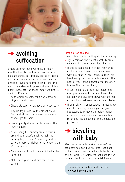

### **avoiding suffocation**

Small children put everything in their mouths. Marbles and small toy parts can be dangerous, but grapes, pieces of apple and other foods can also cause them to choke or even suffocate. String, rope and cords can also end up around your child's neck. These are the most important tips to avoid suffocation:

- Keep small objects, rope and cords out of your child's reach.
- Check all toys for damage or loose parts.
- Tidy up toys used by the oldest child first and store them where the youngest cannot get to them.
- Buy a quality dummy with holes in the mouth guard.
- Never hang the dummy from a string around your baby's neck. Attach the dummy to your child's clothing and make sure the cord or ribbon is no longer than 22 centimetres.
- Always stay close to your child when he is eating.
- Make sure your child sits still when eating.

#### **First aid for choking**

If your child starts choking, do the following:

- Try to remove the object carefully from your child's throat using two fingers.
- If this is not possible, place your child on his stomach over your lower arm with his head in your hand. Support his head and give firm back blows with the heel of your hand between the shoulder blades (but not too hard).
- If your child is a little older, place him over your knee with his head lower than his body and give firm blows with the heel of your hand between the shoulder blades.
- If your child is unconscious, immediately call 112 and try once again to give backslaps to remove the object. When a person is unconscious, the muscles relax and the object can more easily be pushed out.

### **→ bicycling with baby**

Want to go for a bike ride together? No problem! You can put an infant car seat or baby safety seat in a bicycle trailer or carrier cycle. Or fasten the car seat to the back of the bike using a special frame.

For more information and tips, see www.veiligheid.nl/fiets